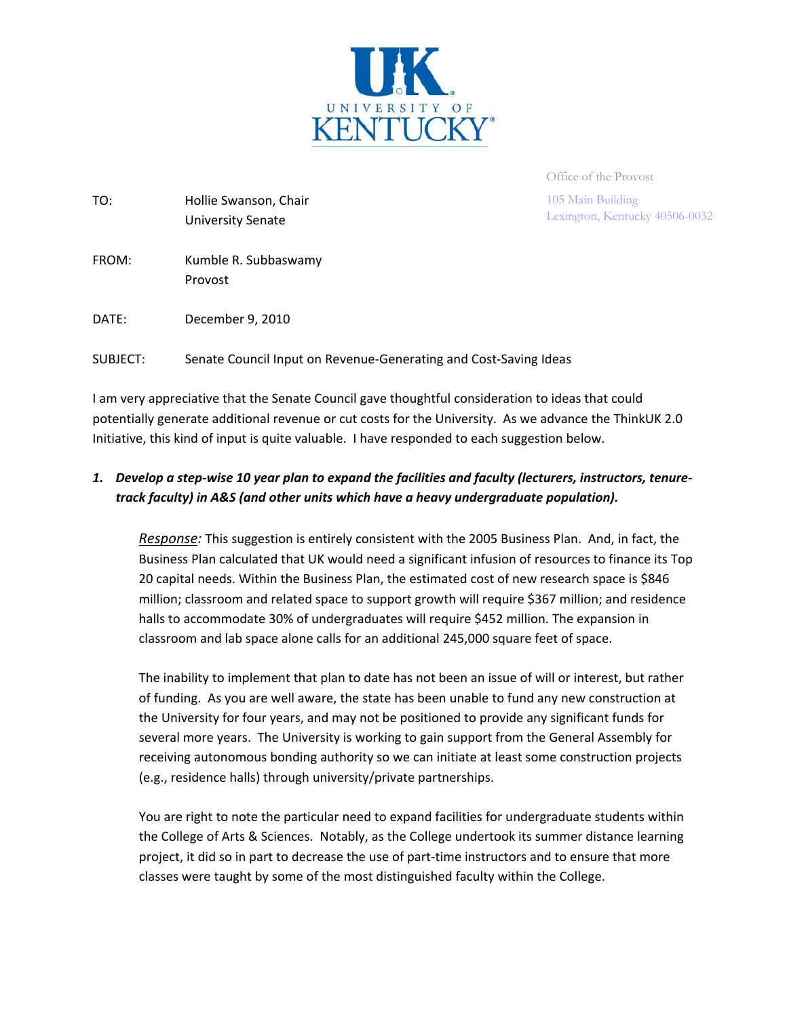

Office of the Provost

105 Main Building Lexington, Kentucky 40506-0032

| TO:   | Hollie Swanson, Chair<br>University Senate |
|-------|--------------------------------------------|
| FROM: | Kumble R. Subbaswamy<br>Provost            |
| DATE: | December 9, 2010                           |

SUBJECT: Senate Council Input on Revenue-Generating and Cost-Saving Ideas

I am very appreciative that the Senate Council gave thoughtful consideration to ideas that could potentially generate additional revenue or cut costs for the University. As we advance the ThinkUK 2.0 Initiative, this kind of input is quite valuable. I have responded to each suggestion below.

### 1. Develop a step-wise 10 year plan to expand the facilities and faculty (lecturers, instructors, tenure*track faculty) in A&S (and other units which have a heavy undergraduate population).*

*Response:* This suggestion is entirely consistent with the 2005 Business Plan. And, in fact, the Business Plan calculated that UK would need a significant infusion of resources to finance its Top 20 capital needs. Within the Business Plan, the estimated cost of new research space is \$846 million; classroom and related space to support growth will require \$367 million; and residence halls to accommodate 30% of undergraduates will require \$452 million. The expansion in classroom and lab space alone calls for an additional 245,000 square feet of space.

The inability to implement that plan to date has not been an issue of will or interest, but rather of funding. As you are well aware, the state has been unable to fund any new construction at the University for four years, and may not be positioned to provide any significant funds for several more years. The University is working to gain support from the General Assembly for receiving autonomous bonding authority so we can initiate at least some construction projects (e.g., residence halls) through university/private partnerships.

You are right to note the particular need to expand facilities for undergraduate students within the College of Arts & Sciences. Notably, as the College undertook its summer distance learning project, it did so in part to decrease the use of part‐time instructors and to ensure that more classes were taught by some of the most distinguished faculty within the College.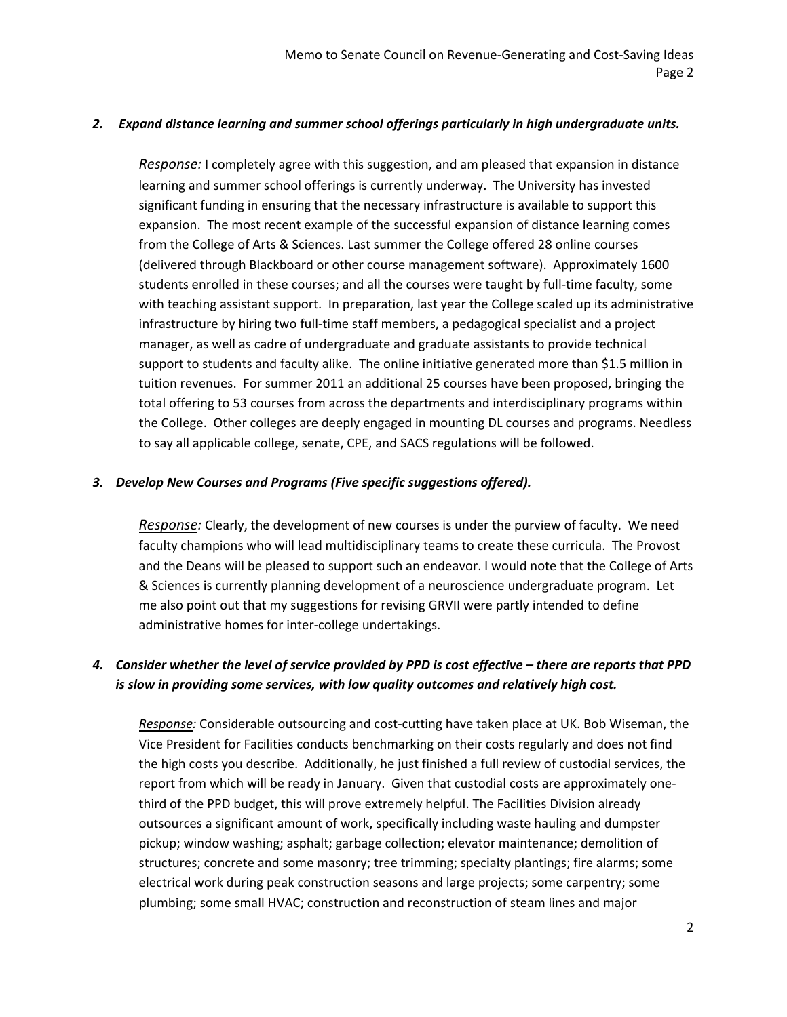#### *2. Expand distance learning and summer school offerings particularly in high undergraduate units.*

*Response:* I completely agree with this suggestion, and am pleased that expansion in distance learning and summer school offerings is currently underway. The University has invested significant funding in ensuring that the necessary infrastructure is available to support this expansion. The most recent example of the successful expansion of distance learning comes from the College of Arts & Sciences. Last summer the College offered 28 online courses (delivered through Blackboard or other course management software). Approximately 1600 students enrolled in these courses; and all the courses were taught by full‐time faculty, some with teaching assistant support. In preparation, last year the College scaled up its administrative infrastructure by hiring two full‐time staff members, a pedagogical specialist and a project manager, as well as cadre of undergraduate and graduate assistants to provide technical support to students and faculty alike. The online initiative generated more than \$1.5 million in tuition revenues. For summer 2011 an additional 25 courses have been proposed, bringing the total offering to 53 courses from across the departments and interdisciplinary programs within the College. Other colleges are deeply engaged in mounting DL courses and programs. Needless to say all applicable college, senate, CPE, and SACS regulations will be followed.

#### *3. Develop New Courses and Programs (Five specific suggestions offered).*

*Response:* Clearly, the development of new courses is under the purview of faculty. We need faculty champions who will lead multidisciplinary teams to create these curricula. The Provost and the Deans will be pleased to support such an endeavor. I would note that the College of Arts & Sciences is currently planning development of a neuroscience undergraduate program. Let me also point out that my suggestions for revising GRVII were partly intended to define administrative homes for inter‐college undertakings.

#### 4. Consider whether the level of service provided by PPD is cost effective – there are reports that PPD *is slow in providing some services, with low quality outcomes and relatively high cost.*

*Response:* Considerable outsourcing and cost‐cutting have taken place at UK. Bob Wiseman, the Vice President for Facilities conducts benchmarking on their costs regularly and does not find the high costs you describe. Additionally, he just finished a full review of custodial services, the report from which will be ready in January. Given that custodial costs are approximately one‐ third of the PPD budget, this will prove extremely helpful. The Facilities Division already outsources a significant amount of work, specifically including waste hauling and dumpster pickup; window washing; asphalt; garbage collection; elevator maintenance; demolition of structures; concrete and some masonry; tree trimming; specialty plantings; fire alarms; some electrical work during peak construction seasons and large projects; some carpentry; some plumbing; some small HVAC; construction and reconstruction of steam lines and major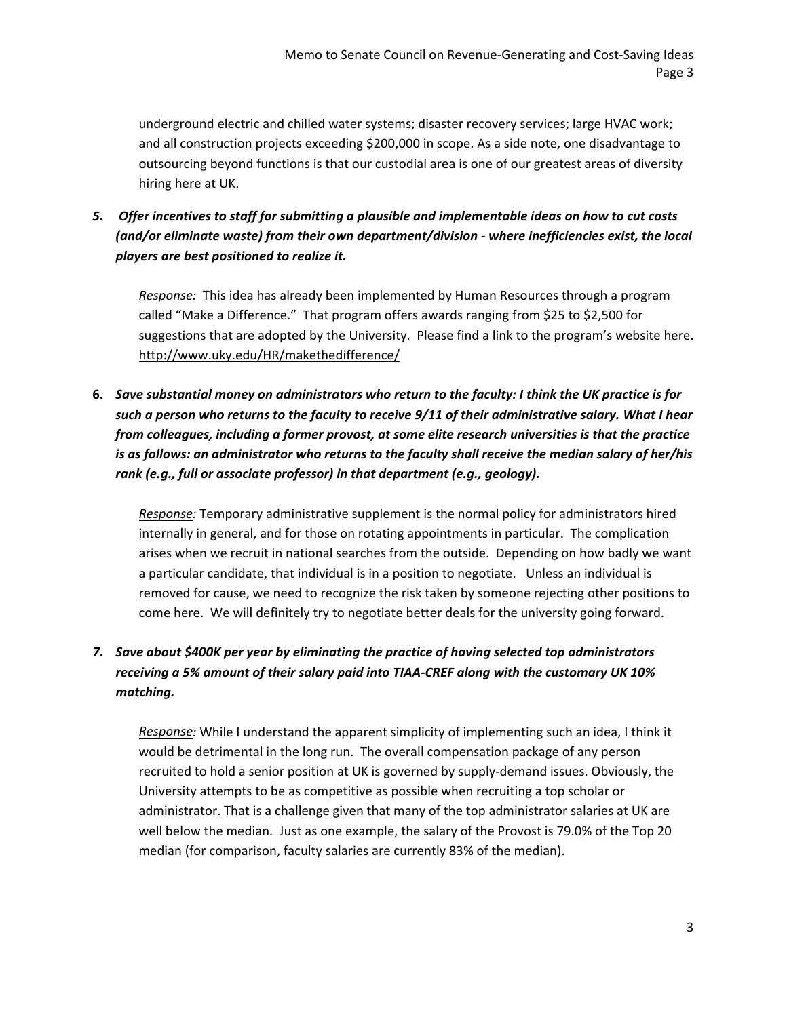underground electric and chilled water systems; disaster recovery services; large HVAC work; and all construction projects exceeding \$200,000 in scope. As a side note, one disadvantage to outsourcing beyond functions is that our custodial area is one of our greatest areas of diversity hiring here at UK.

*5. Offer incentives to staff for submitting a plausible and implementable ideas on how to cut costs (and/or eliminate waste) from their own department/division ‐ where inefficiencies exist, the local players are best positioned to realize it.*

Response: This idea has already been implemented by Human Resources through a program called "Make a Difference." That program offers awards ranging from \$25 to \$2,500 for suggestions that are adopted by the University. Please find a link to the program's website here. <http://www.uky.edu/HR/makethedifference/>

6. Save substantial money on administrators who return to the faculty: I think the UK practice is for such a person who returns to the faculty to receive 9/11 of their administrative salary. What I hear *from colleagues, including a former provost, at some elite research universities is that the practice is as follows: an administrator who returns to the faculty shall receive the median salary of her/his rank (e.g., full or associate professor) in that department (e.g., geology).* 

*Response:* Temporary administrative supplement is the normal policy for administrators hired internally in general, and for those on rotating appointments in particular. The complication arises when we recruit in national searches from the outside. Depending on how badly we want a particular candidate, that individual is in a position to negotiate. Unless an individual is removed for cause, we need to recognize the risk taken by someone rejecting other positions to come here. We will definitely try to negotiate better deals for the university going forward.

## *7. Save about \$400K per year by eliminating the practice of having selected top administrators receiving a 5% amount of their salary paid into TIAA‐CREF along with the customary UK 10% matching.*

*Response:* While I understand the apparent simplicity of implementing such an idea, I think it would be detrimental in the long run. The overall compensation package of any person recruited to hold a senior position at UK is governed by supply‐demand issues. Obviously, the University attempts to be as competitive as possible when recruiting a top scholar or administrator. That is a challenge given that many of the top administrator salaries at UK are well below the median. Just as one example, the salary of the Provost is 79.0% of the Top 20 median (for comparison, faculty salaries are currently 83% of the median).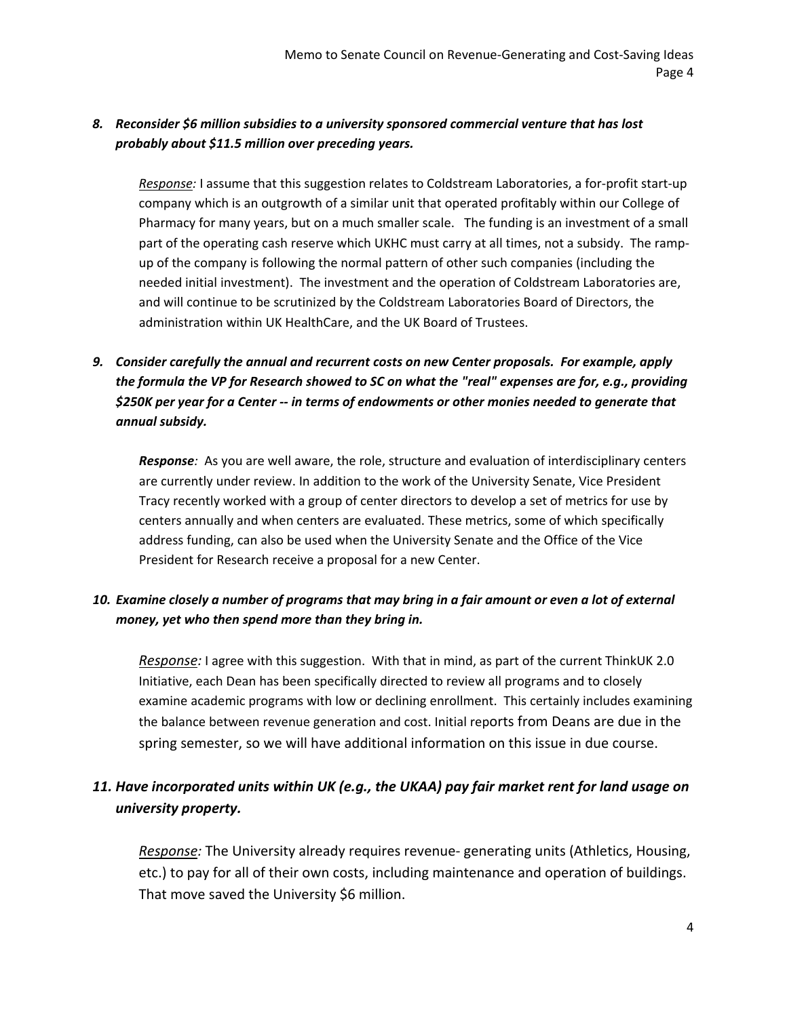### *8. Reconsider \$6 million subsidies to a university sponsored commercial venture that has lost probably about \$11.5 million over preceding years.*

*Response:* I assume that this suggestion relates to Coldstream Laboratories, a for‐profit start‐up company which is an outgrowth of a similar unit that operated profitably within our College of Pharmacy for many years, but on a much smaller scale. The funding is an investment of a small part of the operating cash reserve which UKHC must carry at all times, not a subsidy. The rampup of the company is following the normal pattern of other such companies (including the needed initial investment). The investment and the operation of Coldstream Laboratories are, and will continue to be scrutinized by the Coldstream Laboratories Board of Directors, the administration within UK HealthCare, and the UK Board of Trustees.

## *9. Consider carefully the annual and recurrent costs on new Center proposals. For example, apply the formula the VP for Research showed to SC on what the "real" expenses are for, e.g., providing \$250K per year for a Center ‐‐ in terms of endowments or other monies needed to generate that annual subsidy.*

**Response**: As you are well aware, the role, structure and evaluation of interdisciplinary centers are currently under review. In addition to the work of the University Senate, Vice President Tracy recently worked with a group of center directors to develop a set of metrics for use by centers annually and when centers are evaluated. These metrics, some of which specifically address funding, can also be used when the University Senate and the Office of the Vice President for Research receive a proposal for a new Center.

## 10. Examine closely a number of programs that may bring in a fair amount or even a lot of external *money, yet who then spend more than they bring in.*

*Response:* I agree with this suggestion. With that in mind, as part of the current ThinkUK 2.0 Initiative, each Dean has been specifically directed to review all programs and to closely examine academic programs with low or declining enrollment. This certainly includes examining the balance between revenue generation and cost. Initial reports from Deans are due in the spring semester, so we will have additional information on this issue in due course.

# *11. Have incorporated units within UK (e.g., the UKAA) pay fair market rent for land usage on university property.*

*Response:* The University already requires revenue‐ generating units (Athletics, Housing, etc.) to pay for all of their own costs, including maintenance and operation of buildings. That move saved the University \$6 million.